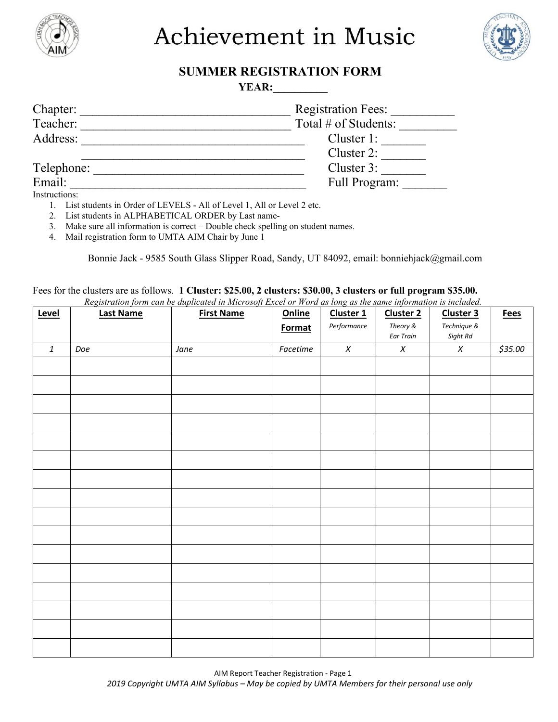

Achievement in Music



## **SUMMER REGISTRATION FORM**

**YEAR:** 

| <b>Registration Fees:</b> |
|---------------------------|
| Total # of Students:      |
| Cluster 1:                |
| Cluster 2:                |
| Cluster 3:                |
| Full Program:             |
|                           |

Instructions:

- 1. List students in Order of LEVELS All of Level 1, All or Level 2 etc.
- 2. List students in ALPHABETICAL ORDER by Last name-

3. Make sure all information is correct – Double check spelling on student names.

4. Mail registration form to UMTA AIM Chair by June 1

Bonnie Jack - 9585 South Glass Slipper Road, Sandy, UT 84092, email: bonniehjack@gmail.com

Fees for the clusters are as follows. **1 Cluster: \$25.00, 2 clusters: \$30.00, 3 clusters or full program \$35.00.**  *Registration form can be duplicated in Microsoft Excel or Word as long as the same information is included.*

| Level        | <b>Last Name</b> | registration form can be aupticated in microsoft Exect of Word as tong as the same information is included.<br><b>First Name</b> | Online   | Cluster 1   | <b>Cluster 2</b>      | Cluster 3               | <b>Fees</b> |
|--------------|------------------|----------------------------------------------------------------------------------------------------------------------------------|----------|-------------|-----------------------|-------------------------|-------------|
|              |                  |                                                                                                                                  | Format   | Performance | Theory &<br>Ear Train | Technique &<br>Sight Rd |             |
| $\mathbf{1}$ | Doe              | Jane                                                                                                                             | Facetime | $\chi$      | $\chi$                | $\chi$                  | \$35.00     |
|              |                  |                                                                                                                                  |          |             |                       |                         |             |
|              |                  |                                                                                                                                  |          |             |                       |                         |             |
|              |                  |                                                                                                                                  |          |             |                       |                         |             |
|              |                  |                                                                                                                                  |          |             |                       |                         |             |
|              |                  |                                                                                                                                  |          |             |                       |                         |             |
|              |                  |                                                                                                                                  |          |             |                       |                         |             |
|              |                  |                                                                                                                                  |          |             |                       |                         |             |
|              |                  |                                                                                                                                  |          |             |                       |                         |             |
|              |                  |                                                                                                                                  |          |             |                       |                         |             |
|              |                  |                                                                                                                                  |          |             |                       |                         |             |
|              |                  |                                                                                                                                  |          |             |                       |                         |             |
|              |                  |                                                                                                                                  |          |             |                       |                         |             |
|              |                  |                                                                                                                                  |          |             |                       |                         |             |
|              |                  |                                                                                                                                  |          |             |                       |                         |             |
|              |                  |                                                                                                                                  |          |             |                       |                         |             |
|              |                  |                                                                                                                                  |          |             |                       |                         |             |
|              |                  |                                                                                                                                  |          |             |                       |                         |             |
|              |                  |                                                                                                                                  |          |             |                       |                         |             |

AIM Report Teacher Registration - Page 1 *2019 Copyright UMTA AIM Syllabus – May be copied by UMTA Members for their personal use only*